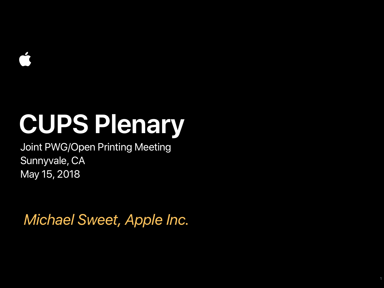Joint PWG/Open Printing Meeting Sunnyvale, CA May 15, 2018

*Michael Sweet, Apple Inc.*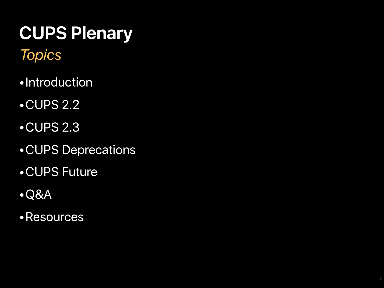#### *Topics*

- 
- 
- 
- •Introduction<br>•CUPS 2.2<br>•CUPS 2.3<br>•CUPS Deprecations<br>•CUPS Future<br>•Q&A<br>•Resources
- 
- 
-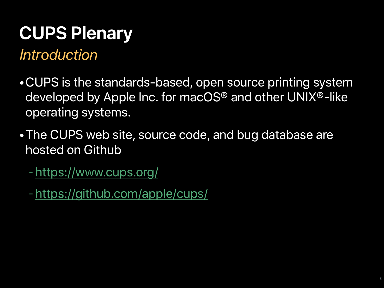#### *Introduction*

- •CUPS is the standards-based, open source printing system developed by [Apple Inc.](http://www.apple.com/) for macOS® and other UNIX®-like operating systems.
- •The CUPS web site, source code, and bug database are hosted on Github
	- -<https://www.cups.org/>
	- -<https://github.com/apple/cups/>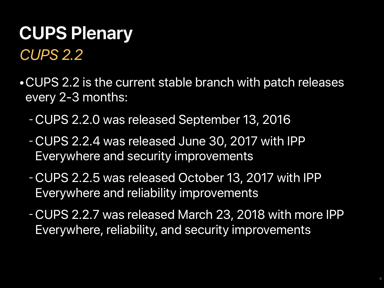### *CUPS 2.2* **CUPS Plenary**

- •CUPS 2.2 is the current stable branch with patch releases every 2-3 months:
	- -CUPS 2.2.0 was released September 13, 2016
	- -CUPS 2.2.4 was released June 30, 2017 with IPP Everywhere and security improvements
	- -CUPS 2.2.5 was released October 13, 2017 with IPP Everywhere and reliability improvements
	- -CUPS 2.2.7 was released March 23, 2018 with more IPP Everywhere, reliability, and security improvements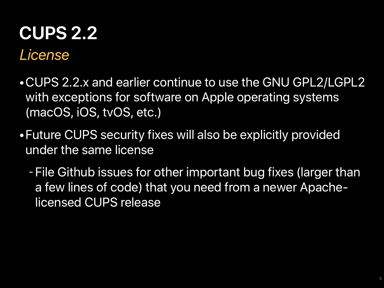#### *License* **CUPS 2.2**

- •CUPS 2.2.x and earlier continue to use the GNU GPL2/LGPL2 with exceptions for software on Apple operating systems (macOS, iOS, tvOS, etc.)
- •Future CUPS security fixes will also be explicitly provided under the same license
	- File Github issues for other important bug fixes (larger than a few lines of code) that you need from a newer Apachelicensed CUPS release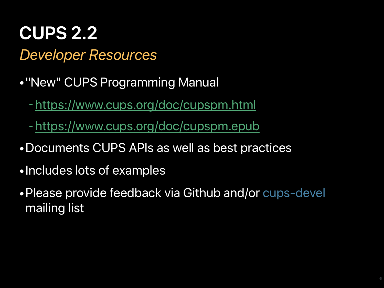#### *Developer Resources* **CUPS 2.2**

- •"New" CUPS Programming Manual
	- -<https://www.cups.org/doc/cupspm.html>
	- -<https://www.cups.org/doc/cupspm.epub>
- •Documents CUPS APIs as well as best practices
- •Includes lots of examples
- •Please provide feedback via Github and/or cups-devel mailing list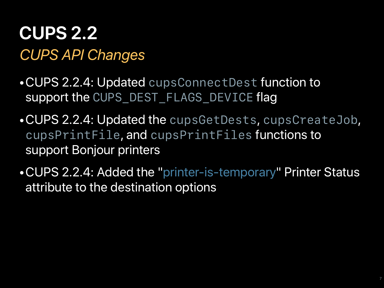#### *CUPS API Changes* **CUPS 2.2**

- •CUPS 2.2.4: Updated *cupsConnectDest* function to support the *CUPS\_DEST\_FLAGS\_DEVICE* flag
- •CUPS 2.2.4: Updated the *cupsGetDests*, *cupsCreateJob*, *cupsPrintFile*, and *cupsPrintFiles* functions to support Bonjour printers
- •CUPS 2.2.4: Added the "printer-is-temporary" Printer Status attribute to the destination options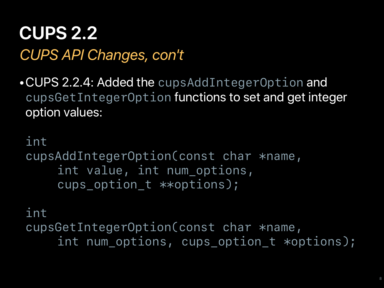#### *CUPS API Changes, con't* **CUPS 2.2**

•CUPS 2.2.4: Added the *cupsAddIntegerOption* and *cupsGetIntegerOption* functions to set and get integer option values:

```
int
cupsAddIntegerOption(const char *name,
     int value, int num_options,
     cups_option_t **options);
```

```
int
cupsGetIntegerOption(const char *name,
     int num_options, cups_option_t *options);
```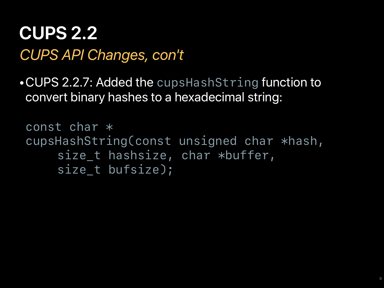#### *CUPS API Changes, con't* **CUPS 2.2**

•CUPS 2.2.7: Added the *cupsHashString* function to convert binary hashes to a hexadecimal string:

```
const char *
cupsHashString(const unsigned char *hash,
     size_t hashsize, char *buffer,
     size_t bufsize);
```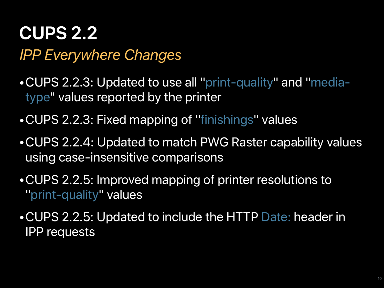#### *IPP Everywhere Changes* **CUPS 2.2**

- •CUPS 2.2.3: Updated to use all "print-quality" and "mediatype" values reported by the printer
- •CUPS 2.2.3: Fixed mapping of "finishings" values
- •CUPS 2.2.4: Updated to match PWG Raster capability values using case-insensitive comparisons
- •CUPS 2.2.5: Improved mapping of printer resolutions to "print-quality" values
- •CUPS 2.2.5: Updated to include the HTTP Date: header in IPP requests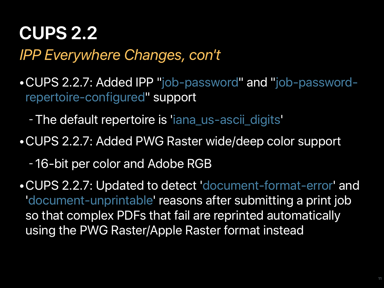#### *IPP Everywhere Changes, con't* **CUPS 2.2**

•CUPS 2.2.7: Added IPP "job-password" and "job-passwordrepertoire-configured" support

- -The default repertoire is 'iana\_us-ascii\_digits'
- •CUPS 2.2.7: Added PWG Raster wide/deep color support
	- 16-bit per color and Adobe RGB
- •CUPS 2.2.7: Updated to detect 'document-format-error' and 'document-unprintable' reasons after submitting a print job so that complex PDFs that fail are reprinted automatically using the PWG Raster/Apple Raster format instead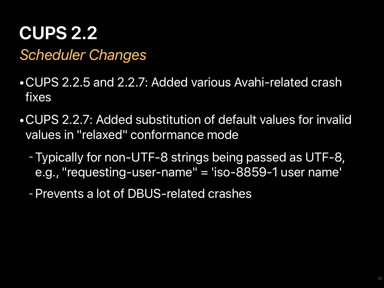#### *Scheduler Changes* **CUPS 2.2**

- •CUPS 2.2.5 and 2.2.7: Added various Avahi-related crash fixes
- •CUPS 2.2.7: Added substitution of default values for invalid values in "relaxed" conformance mode
	- -Typically for non-UTF-8 strings being passed as UTF-8, e.g., "requesting-user-name" = 'iso-8859-1 user name'
	- -Prevents a lot of DBUS-related crashes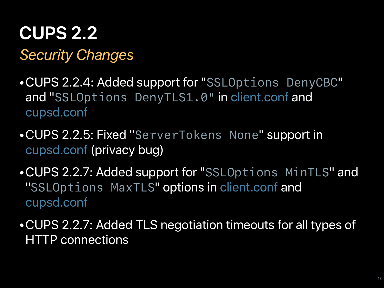*Security Changes* **CUPS 2.2**

- •CUPS 2.2.4: Added support for "*SSLOptions DenyCBC*" and "*SSLOptions DenyTLS1.0"* in client.conf and cupsd.conf
- •CUPS 2.2.5: Fixed "*ServerTokens None*" support in cupsd.conf (privacy bug)
- •CUPS 2.2.7: Added support for "*SSLOptions MinTLS*" and "*SSLOptions MaxTLS*" options in client.conf and cupsd.conf
- •CUPS 2.2.7: Added TLS negotiation timeouts for all types of HTTP connections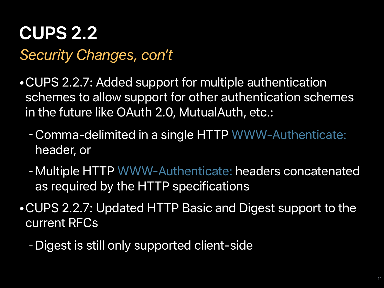#### *Security Changes, con't* **CUPS 2.2**

- •CUPS 2.2.7: Added support for multiple authentication schemes to allow support for other authentication schemes in the future like OAuth 2.0, MutualAuth, etc.:
	- -Comma-delimited in a single HTTP WWW-Authenticate: header, or
	- -Multiple HTTP WWW-Authenticate: headers concatenated as required by the HTTP specifications
- •CUPS 2.2.7: Updated HTTP Basic and Digest support to the current RFCs
	- -Digest is still only supported client-side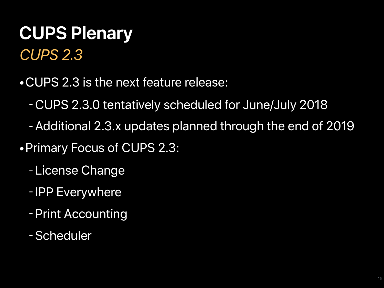### *CUPS 2.3* **CUPS Plenary**

- •CUPS 2.3 is the next feature release:
	- -CUPS 2.3.0 tentatively scheduled for June/July 2018
	- -Additional 2.3.x updates planned through the end of 2019
- •Primary Focus of CUPS 2.3:
	- License Change
	- IPP Everywhere
	- -Print Accounting
	- -Scheduler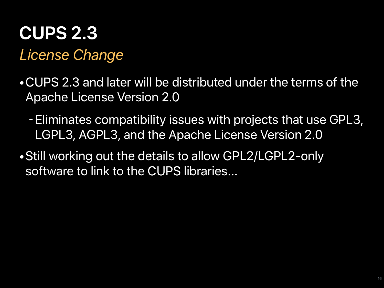#### *License Change* **CUPS 2.3**

- •CUPS 2.3 and later will be distributed under the terms of the Apache License Version 2.0
	- -Eliminates compatibility issues with projects that use GPL3, LGPL3, AGPL3, and the Apache License Version 2.0
- •Still working out the details to allow GPL2/LGPL2-only software to link to the CUPS libraries...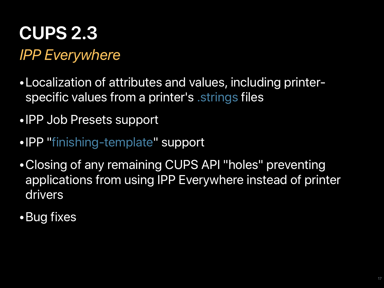*IPP Everywhere* **CUPS 2.3**

- •Localization of attributes and values, including printerspecific values from a printer's .strings files
- •IPP Job Presets support
- •IPP "finishing-template" support
- •Closing of any remaining CUPS API "holes" preventing applications from using IPP Everywhere instead of printer drivers
- •Bug fixes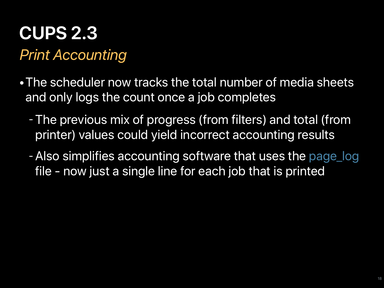### **CUPS 2.3**

#### *Print Accounting*

- •The scheduler now tracks the total number of media sheets and only logs the count once a job completes
	- -The previous mix of progress (from filters) and total (from printer) values could yield incorrect accounting results
	- -Also simplifies accounting software that uses the page\_log file - now just a single line for each job that is printed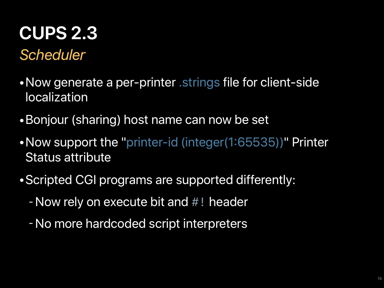#### *Scheduler* **CUPS 2.3**

- Now generate a per-printer strings file for client-side localization
- •Bonjour (sharing) host name can now be set
- •Now support the "printer-id (integer(1:65535))" Printer Status attribute
- •Scripted CGI programs are supported differently:
	- -Now rely on execute bit and *#!* header
	- -No more hardcoded script interpreters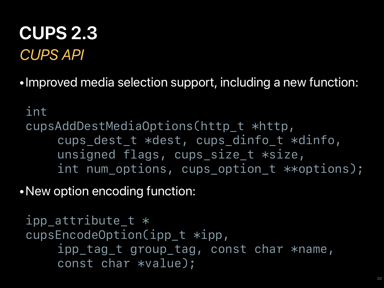#### *CUPS API* **CUPS 2.3**

•Improved media selection support, including a new function:

*int cupsAddDestMediaOptions(http\_t \*http, cups\_dest\_t \*dest, cups\_dinfo\_t \*dinfo, unsigned flags, cups\_size\_t \*size, int num\_options, cups\_option\_t \*\*options);*

•New option encoding function:

```
ipp_attribute_t *
cupsEncodeOption(ipp_t *ipp,
     ipp_tag_t group_tag, const char *name,
     const char *value);
```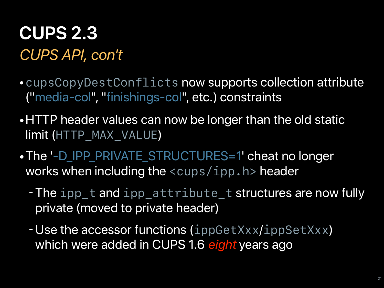#### *CUPS API, con't* **CUPS 2.3**

- •*cupsCopyDestConflicts* now supports collection attribute ("media-col", "finishings-col", etc.) constraints
- •HTTP header values can now be longer than the old static limit (*HTTP\_MAX\_VALUE*)
- •The '-D\_IPP\_PRIVATE\_STRUCTURES=1' cheat no longer works when including the *<cups/ipp.h>* header
	- -The *ipp\_t* and *ipp\_attribute\_t* structures are now fully private (moved to private header)
	- -Use the accessor functions (*ippGetXxx*/*ippSetXxx*) which were added in CUPS 1.6 *eight* years ago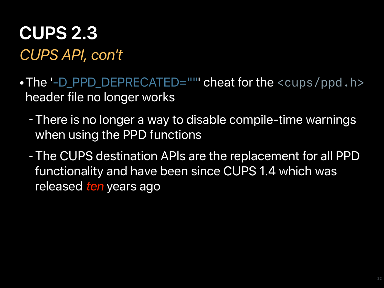#### *CUPS API, con't* **CUPS 2.3**

- •The '-D\_PPD\_DEPRECATED=""' cheat for the *<cups/ppd.h>* header file no longer works
	- -There is no longer a way to disable compile-time warnings when using the PPD functions
	- -The CUPS destination APIs are the replacement for all PPD functionality and have been since CUPS 1.4 which was released *ten* years ago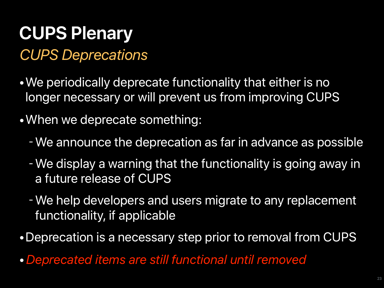#### *CUPS Deprecations*

- •We periodically deprecate functionality that either is no longer necessary or will prevent us from improving CUPS
- •When we deprecate something:
	- -We announce the deprecation as far in advance as possible
	- -We display a warning that the functionality is going away in a future release of CUPS
	- -We help developers and users migrate to any replacement functionality, if applicable
- •Deprecation is a necessary step prior to removal from CUPS
- •*Deprecated items are still functional until removed*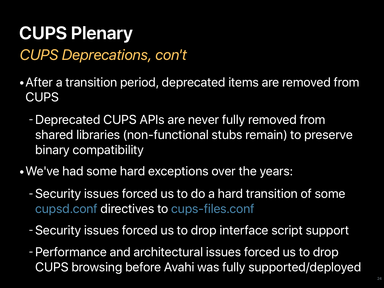#### *CUPS Deprecations, con't*

- •After a transition period, deprecated items are removed from **CUPS** 
	- -Deprecated CUPS APIs are never fully removed from shared libraries (non-functional stubs remain) to preserve binary compatibility
- •We've had some hard exceptions over the years:
	- -Security issues forced us to do a hard transition of some cupsd.conf directives to cups-files.conf
	- -Security issues forced us to drop interface script support
	- -Performance and architectural issues forced us to drop CUPS browsing before Avahi was fully supported/deployed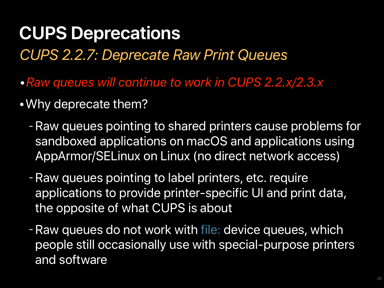*CUPS 2.2.7: Deprecate Raw Print Queues*

- *•Raw queues will continue to work in CUPS 2.2.x/2.3.x*
- •Why deprecate them?
	- -Raw queues pointing to shared printers cause problems for sandboxed applications on macOS and applications using AppArmor/SELinux on Linux (no direct network access)
	- -Raw queues pointing to label printers, etc. require applications to provide printer-specific UI and print data, the opposite of what CUPS is about
	- -Raw queues do not work with file: device queues, which people still occasionally use with special-purpose printers and software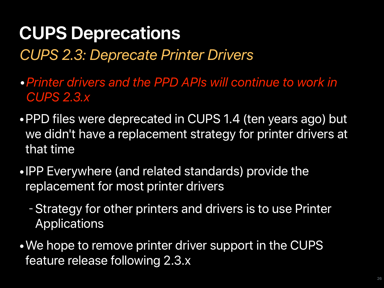*CUPS 2.3: Deprecate Printer Drivers*

*•Printer drivers and the PPD APIs will continue to work in CUPS 2.3.x*

- •PPD files were deprecated in CUPS 1.4 (ten years ago) but we didn't have a replacement strategy for printer drivers at that time
- •IPP Everywhere (and related standards) provide the replacement for most printer drivers
	- -Strategy for other printers and drivers is to use Printer Applications
- •We hope to remove printer driver support in the CUPS feature release following 2.3.x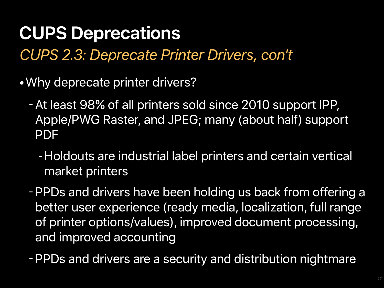*CUPS 2.3: Deprecate Printer Drivers, con't*

- •Why deprecate printer drivers?
	- -At least 98% of all printers sold since 2010 support IPP, Apple/PWG Raster, and JPEG; many (about half) support PDF
		- -Holdouts are industrial label printers and certain vertical market printers
	- -PPDs and drivers have been holding us back from offering a better user experience (ready media, localization, full range of printer options/values), improved document processing, and improved accounting
	- -PPDs and drivers are a security and distribution nightmare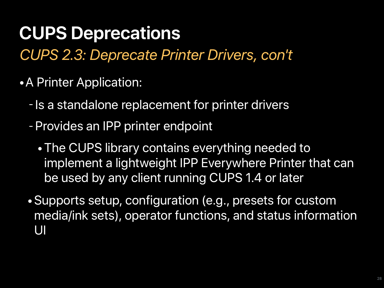*CUPS 2.3: Deprecate Printer Drivers, con't*

- •A Printer Application:
	- Is a standalone replacement for printer drivers
	- -Provides an IPP printer endpoint
		- •The CUPS library contains everything needed to implement a lightweight IPP Everywhere Printer that can be used by any client running CUPS 1.4 or later
	- •Supports setup, configuration (e.g., presets for custom media/ink sets), operator functions, and status information UI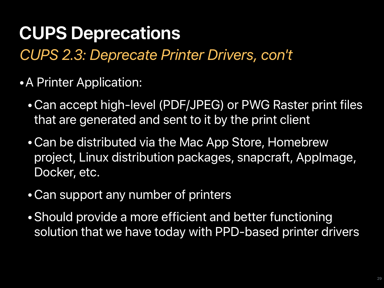*CUPS 2.3: Deprecate Printer Drivers, con't*

- •A Printer Application:
	- •Can accept high-level (PDF/JPEG) or PWG Raster print files that are generated and sent to it by the print client
	- •Can be distributed via the Mac App Store, Homebrew project, Linux distribution packages, snapcraft, AppImage, Docker, etc.
	- •Can support any number of printers
	- •Should provide a more efficient and better functioning solution that we have today with PPD-based printer drivers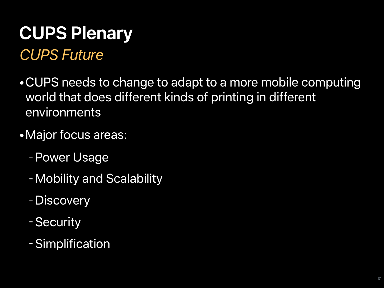#### *CUPS Future*

- •CUPS needs to change to adapt to a more mobile computing world that does different kinds of printing in different environments
- Major focus areas:
	- -Power Usage
	- -Mobility and Scalability
	- -Discovery
	- -Security
	- -Simplification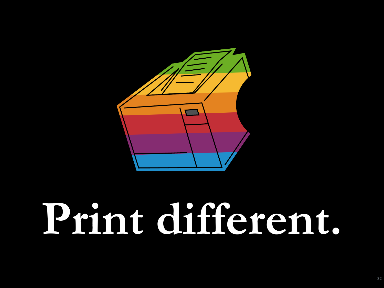

# **Print different.**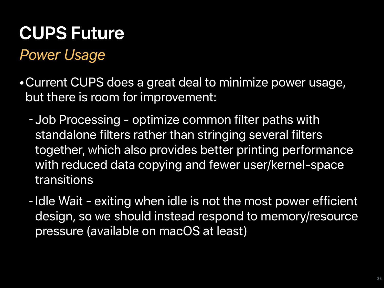#### *Power Usage*

- •Current CUPS does a great deal to minimize power usage, but there is room for improvement:
	- Job Processing optimize common filter paths with standalone filters rather than stringing several filters together, which also provides better printing performance with reduced data copying and fewer user/kernel-space transitions
	- Idle Wait exiting when idle is not the most power efficient design, so we should instead respond to memory/resource pressure (available on macOS at least)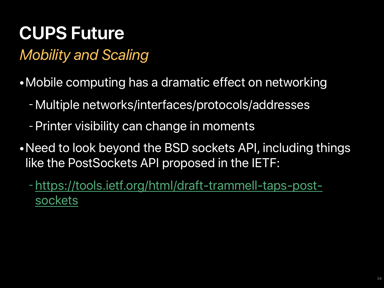#### *Mobility and Scaling*

- •Mobile computing has a dramatic effect on networking
	- -Multiple networks/interfaces/protocols/addresses
	- -Printer visibility can change in moments
- •Need to look beyond the BSD sockets API, including things like the PostSockets API proposed in the IETF:
	- -[https://tools.ietf.org/html/draft-trammell-taps-post](https://tools.ietf.org/html/draft-trammell-taps-post-sockets)[sockets](https://tools.ietf.org/html/draft-trammell-taps-post-sockets)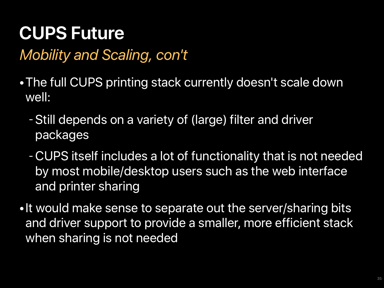#### *Mobility and Scaling, con't*

- •The full CUPS printing stack currently doesn't scale down well:
	- -Still depends on a variety of (large) filter and driver packages
	- -CUPS itself includes a lot of functionality that is not needed by most mobile/desktop users such as the web interface and printer sharing
- •It would make sense to separate out the server/sharing bits and driver support to provide a smaller, more efficient stack when sharing is not needed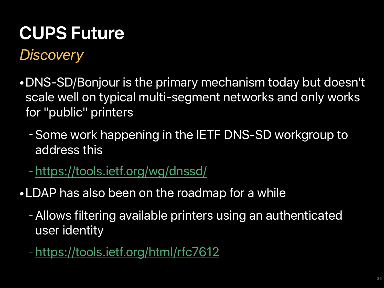*Discovery*

- •DNS-SD/Bonjour is the primary mechanism today but doesn't scale well on typical multi-segment networks and only works for "public" printers
	- -Some work happening in the IETF DNS-SD workgroup to address this
	- -<https://tools.ietf.org/wg/dnssd/>
- •LDAP has also been on the roadmap for a while
	- -Allows filtering available printers using an authenticated user identity
	- -<https://tools.ietf.org/html/rfc7612>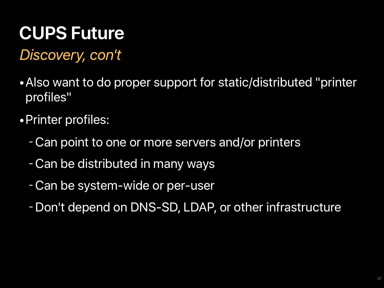*Discovery, con't*

- •Also want to do proper support for static/distributed "printer profiles"
- •Printer profiles:
	- -Can point to one or more servers and/or printers
	- -Can be distributed in many ways
	- -Can be system-wide or per-user
	- -Don't depend on DNS-SD, LDAP, or other infrastructure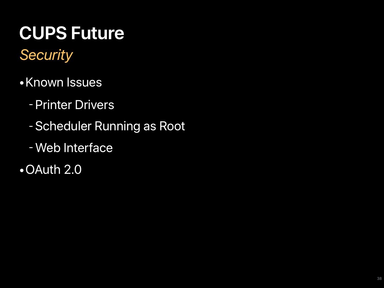*Security*

- •Known Issues
	- -Printer Drivers
	- -Scheduler Running as Root
	- -Web Interface
- •OAuth 2.0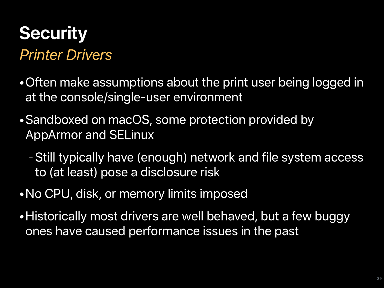#### *Printer Drivers* **Security**

- •Often make assumptions about the print user being logged in at the console/single-user environment
- •Sandboxed on macOS, some protection provided by AppArmor and SELinux
	- -Still typically have (enough) network and file system access to (at least) pose a disclosure risk
- •No CPU, disk, or memory limits imposed
- •Historically most drivers are well behaved, but a few buggy ones have caused performance issues in the past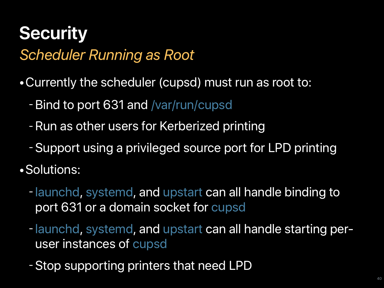#### *Scheduler Running as Root* **Security**

- •Currently the scheduler (cupsd) must run as root to:
	- -Bind to port 631 and /var/run/cupsd
	- -Run as other users for Kerberized printing
	- -Support using a privileged source port for LPD printing
- •Solutions:
	- launchd, systemd, and upstart can all handle binding to port 631 or a domain socket for cupsd
	- launchd, systemd, and upstart can all handle starting peruser instances of cupsd
	- -Stop supporting printers that need LPD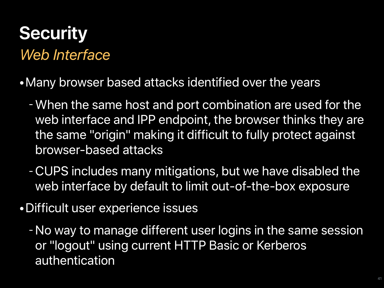#### *Web Interface* **Security**

- •Many browser based attacks identified over the years
	- -When the same host and port combination are used for the web interface and IPP endpoint, the browser thinks they are the same "origin" making it difficult to fully protect against browser-based attacks
	- -CUPS includes many mitigations, but we have disabled the web interface by default to limit out-of-the-box exposure
- •Difficult user experience issues
	- -No way to manage different user logins in the same session or "logout" using current HTTP Basic or Kerberos authentication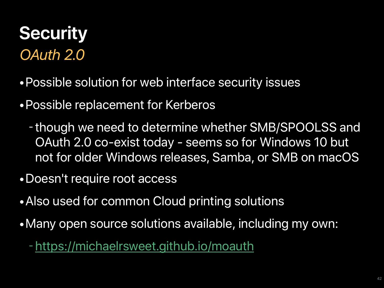### *OAuth 2.0* **Security**

- •Possible solution for web interface security issues
- •Possible replacement for Kerberos
	- though we need to determine whether SMB/SPOOLSS and OAuth 2.0 co-exist today - seems so for Windows 10 but not for older Windows releases, Samba, or SMB on macOS
- •Doesn't require root access
- •Also used for common Cloud printing solutions
- •Many open source solutions available, including my own:
	- -<https://michaelrsweet.github.io/moauth>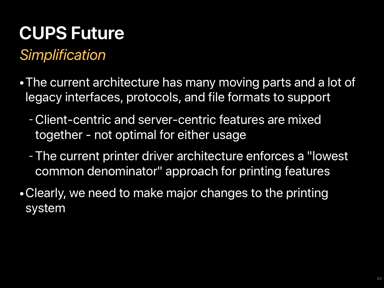#### *Simplification*

- •The current architecture has many moving parts and a lot of legacy interfaces, protocols, and file formats to support
	- -Client-centric and server-centric features are mixed together - not optimal for either usage
	- -The current printer driver architecture enforces a "lowest common denominator" approach for printing features
- •Clearly, we need to make major changes to the printing system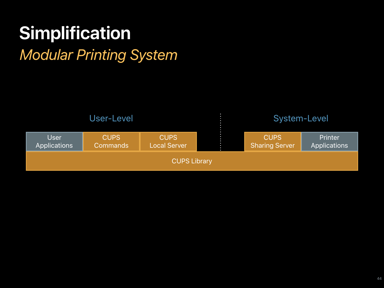### **Simplification**

#### *Modular Printing System*

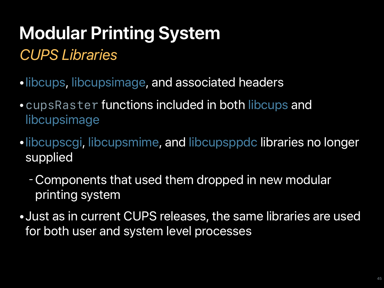#### *CUPS Libraries*

- •libcups, libcupsimage, and associated headers
- •*cupsRaster* functions included in both libcups and libcupsimage
- •libcupscgi, libcupsmime, and libcupsppdc libraries no longer supplied
	- -Components that used them dropped in new modular printing system
- •Just as in current CUPS releases, the same libraries are used for both user and system level processes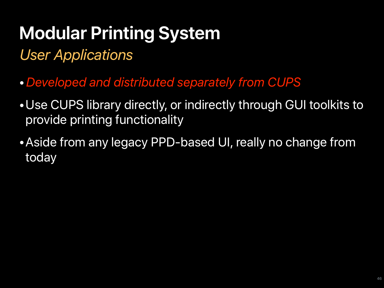*User Applications*

- •*Developed and distributed separately from CUPS*
- •Use CUPS library directly, or indirectly through GUI toolkits to provide printing functionality
- •Aside from any legacy PPD-based UI, really no change from today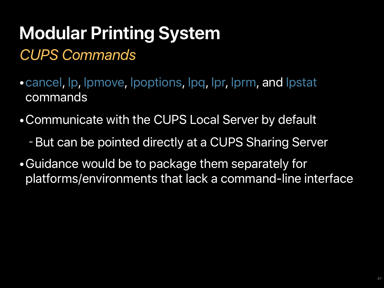### *CUPS Commands* **Modular Printing System**

- •cancel, lp, lpmove, lpoptions, lpq, lpr, lprm, and lpstat commands
- •Communicate with the CUPS Local Server by default
	- -But can be pointed directly at a CUPS Sharing Server
- •Guidance would be to package them separately for platforms/environments that lack a command-line interface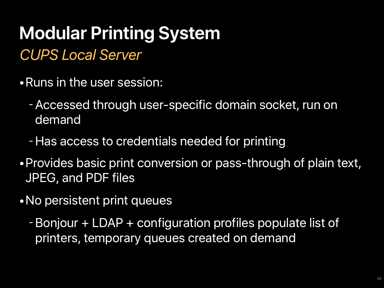#### *CUPS Local Server*

- •Runs in the user session:
	- -Accessed through user-specific domain socket, run on demand
	- -Has access to credentials needed for printing
- •Provides basic print conversion or pass-through of plain text, JPEG, and PDF files
- •No persistent print queues
	- -Bonjour + LDAP + configuration profiles populate list of printers, temporary queues created on demand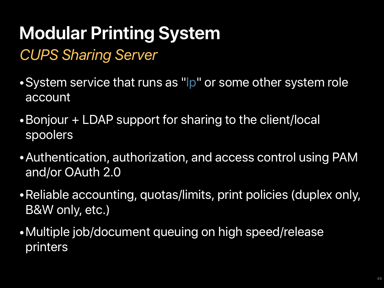*CUPS Sharing Server*

- •System service that runs as "lp" or some other system role account
- •Bonjour + LDAP support for sharing to the client/local spoolers
- •Authentication, authorization, and access control using PAM and/or OAuth 2.0
- •Reliable accounting, quotas/limits, print policies (duplex only, B&W only, etc.)
- •Multiple job/document queuing on high speed/release printers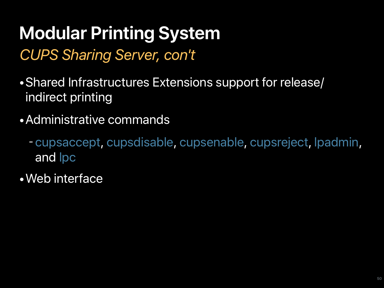#### *CUPS Sharing Server, con't*

- •Shared Infrastructures Extensions support for release/ indirect printing
- •Administrative commands
	- cupsaccept, cupsdisable, cupsenable, cupsreject, lpadmin, and lpc
- •Web interface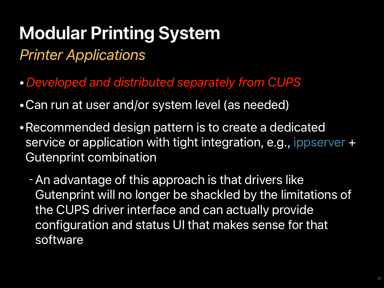*Printer Applications*

- •*Developed and distributed separately from CUPS*
- •Can run at user and/or system level (as needed)
- •Recommended design pattern is to create a dedicated service or application with tight integration, e.g., ippserver + Gutenprint combination
	- -An advantage of this approach is that drivers like Gutenprint will no longer be shackled by the limitations of the CUPS driver interface and can actually provide configuration and status UI that makes sense for that software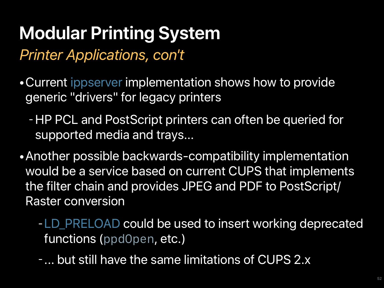*Printer Applications, con't*

- •Current ippserver implementation shows how to provide generic "drivers" for legacy printers
	- -HP PCL and PostScript printers can often be queried for supported media and trays...
- •Another possible backwards-compatibility implementation would be a service based on current CUPS that implements the filter chain and provides JPEG and PDF to PostScript/ Raster conversion
	- -LD\_PRELOAD could be used to insert working deprecated functions (*ppdOpen*, etc.)
	- ... but still have the same limitations of CUPS 2.x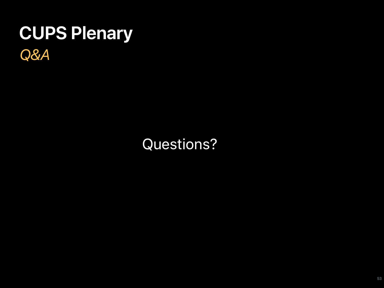### *Q&A* **CUPS Plenary**

#### Questions?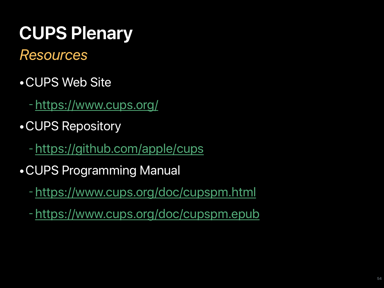#### *Resources*

- •CUPS Web Site
	- -<https://www.cups.org/>
- •CUPS Repository
	- -<https://github.com/apple/cups>
- •CUPS Programming Manual
	- -<https://www.cups.org/doc/cupspm.html>
	- -<https://www.cups.org/doc/cupspm.epub>